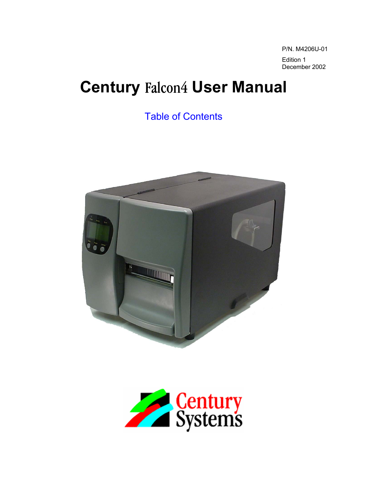P/N. M4206U-01 Edition 1 December 2002

# **Century** Falcon4 **User Manual**

[Table of Contents](#page-2-0) 



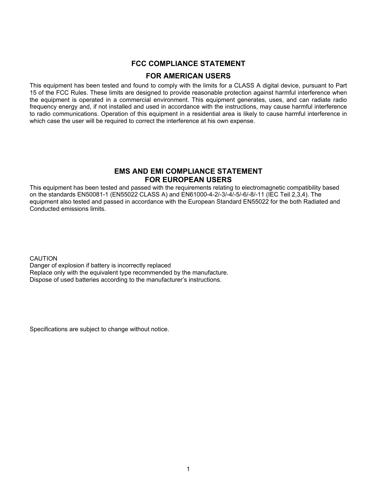#### **FCC COMPLIANCE STATEMENT**

#### **FOR AMERICAN USERS**

This equipment has been tested and found to comply with the limits for a CLASS A digital device, pursuant to Part 15 of the FCC Rules. These limits are designed to provide reasonable protection against harmful interference when the equipment is operated in a commercial environment. This equipment generates, uses, and can radiate radio frequency energy and, if not installed and used in accordance with the instructions, may cause harmful interference to radio communications. Operation of this equipment in a residential area is likely to cause harmful interference in which case the user will be required to correct the interference at his own expense.

#### **EMS AND EMI COMPLIANCE STATEMENT FOR EUROPEAN USERS**

This equipment has been tested and passed with the requirements relating to electromagnetic compatibility based on the standards EN50081-1 (EN55022 CLASS A) and EN61000-4-2/-3/-4/-5/-6/-8/-11 (IEC Teil 2,3,4). The equipment also tested and passed in accordance with the European Standard EN55022 for the both Radiated and Conducted emissions limits.

**CAUTION** 

Danger of explosion if battery is incorrectly replaced Replace only with the equivalent type recommended by the manufacture. Dispose of used batteries according to the manufacturer's instructions.

Specifications are subject to change without notice.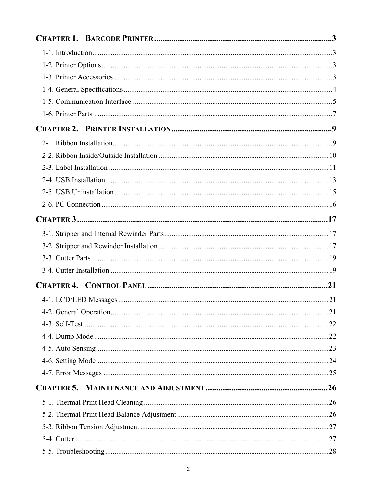<span id="page-2-0"></span>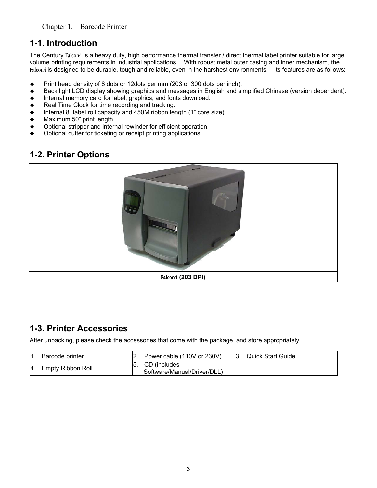#### <span id="page-3-0"></span>**1-1. Introduction**

The Century Falcon4 is a heavy duty, high performance thermal transfer / direct thermal label printer suitable for large volume printing requirements in industrial applications. With robust metal outer casing and inner mechanism, the Falcon4 is designed to be durable, tough and reliable, even in the harshest environments. Its features are as follows:

- ◆ Print head density of 8 dots or 12dots per mm (203 or 300 dots per inch).
- ◆ Back light LCD display showing graphics and messages in English and simplified Chinese (version dependent).
- Internal memory card for label, graphics, and fonts download.
- Real Time Clock for time recording and tracking.
- Internal 8" label roll capacity and 450M ribbon length (1" core size).
- Maximum 50" print length.
- Optional stripper and internal rewinder for efficient operation.
- Optional cutter for ticketing or receipt printing applications.

## **1-2. Printer Options**



## **1-3. Printer Accessories**

After unpacking, please check the accessories that come with the package, and store appropriately.

| п.  | Barcode printer   | Power cable (110V or 230V)  | <b>Quick Start Guide</b> |
|-----|-------------------|-----------------------------|--------------------------|
| l4. | Empty Ribbon Roll | CD (includes                |                          |
|     |                   | Software/Manual/Driver/DLL) |                          |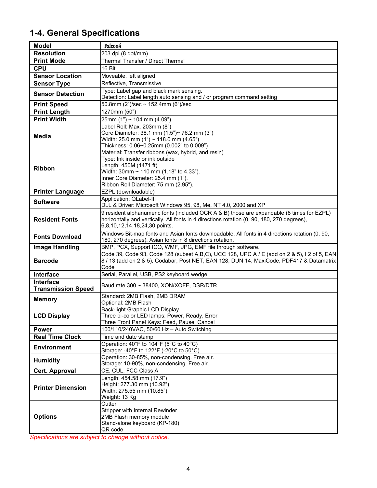# <span id="page-4-0"></span>**1-4. General Specifications**

| <b>Model</b>                                  | Falcon4                                                                                                                                                                                                                                     |
|-----------------------------------------------|---------------------------------------------------------------------------------------------------------------------------------------------------------------------------------------------------------------------------------------------|
| <b>Resolution</b>                             | 203 dpi (8 dot/mm)                                                                                                                                                                                                                          |
| <b>Print Mode</b>                             | Thermal Transfer / Direct Thermal                                                                                                                                                                                                           |
| <b>CPU</b>                                    | 16 Bit                                                                                                                                                                                                                                      |
| <b>Sensor Location</b>                        | Moveable, left aligned                                                                                                                                                                                                                      |
| <b>Sensor Type</b>                            | Reflective, Transmissive                                                                                                                                                                                                                    |
| <b>Sensor Detection</b>                       | Type: Label gap and black mark sensing.<br>Detection: Label length auto sensing and / or program command setting                                                                                                                            |
| <b>Print Speed</b>                            | 50.8mm $(2n)/sec \sim 152.4$ mm $(6n)/sec$                                                                                                                                                                                                  |
| <b>Print Length</b>                           | 1270mm (50")                                                                                                                                                                                                                                |
| <b>Print Width</b>                            | $25$ mm (1") ~ 104 mm (4.09")                                                                                                                                                                                                               |
| Media                                         | Label Roll: Max. 203mm (8")<br>Core Diameter: 38.1 mm (1.5")~ 76.2 mm (3")<br>Width: 25.0 mm (1") ~ 118.0 mm (4.65")<br>Thickness: 0.06~0.25mm (0.002" to 0.009")                                                                           |
| <b>Ribbon</b>                                 | Material: Transfer ribbons (wax, hybrid, and resin)<br>Type: Ink inside or ink outside<br>Length: 450M (1471 ft)<br>Width: $30$ mm ~ 110 mm (1.18" to 4.33").<br>Inner Core Diameter: 25.4 mm (1").<br>Ribbon Roll Diameter: 75 mm (2.95"). |
| <b>Printer Language</b>                       | EZPL (downloadable)                                                                                                                                                                                                                         |
| <b>Software</b>                               | Application: QLabel-III                                                                                                                                                                                                                     |
|                                               | DLL & Driver: Microsoft Windows 95, 98, Me, NT 4.0, 2000 and XP                                                                                                                                                                             |
| <b>Resident Fonts</b>                         | 9 resident alphanumeric fonts (included OCR A & B) those are expandable (8 times for EZPL)<br>horizontally and vertically. All fonts in 4 directions rotation (0, 90, 180, 270 degrees),<br>6,8,10,12,14,18,24,30 points.                   |
| <b>Fonts Download</b>                         | Windows Bit-map fonts and Asian fonts downloadable. All fonts in 4 directions rotation (0, 90,<br>180, 270 degrees). Asian fonts in 8 directions rotation.                                                                                  |
| <b>Image Handling</b>                         | BMP, PCX, Support ICO, WMF, JPG, EMF file through software.                                                                                                                                                                                 |
| <b>Barcode</b>                                | Code 39, Code 93, Code 128 (subset A,B,C), UCC 128, UPC A / E (add on 2 & 5), I 2 of 5, EAN<br>8 / 13 (add on 2 & 5), Codabar, Post NET, EAN 128, DUN 14, MaxiCode, PDF417 & Datamatrix<br>Code                                             |
| Interface                                     | Serial, Parallel, USB, PS2 keyboard wedge                                                                                                                                                                                                   |
| <b>Interface</b><br><b>Transmission Speed</b> | Baud rate 300 ~ 38400, XON/XOFF, DSR/DTR                                                                                                                                                                                                    |
| <b>Memory</b>                                 | Standard: 2MB Flash, 2MB DRAM                                                                                                                                                                                                               |
|                                               | Optional: 2MB Flash                                                                                                                                                                                                                         |
| <b>LCD Display</b>                            | Back-light Graphic LCD Display<br>Three bi-color LED lamps: Power, Ready, Error<br>Three Front Panel Keys: Feed, Pause, Cancel                                                                                                              |
| <b>Power</b>                                  | 100/110/240VAC, 50/60 Hz - Auto Switching                                                                                                                                                                                                   |
| <b>Real Time Clock</b>                        | Time and date stamp                                                                                                                                                                                                                         |
| <b>Environment</b>                            | Operation: 40°F to 104°F (5°C to 40°C)<br>Storage: -40°F to 122°F (-20°C to 50°C)                                                                                                                                                           |
| <b>Humidity</b>                               | Operation: 30-85%, non-condensing. Free air.<br>Storage: 10-90%, non-condensing. Free air.                                                                                                                                                  |
| Cert. Approval                                | CE, CUL, FCC Class A                                                                                                                                                                                                                        |
| <b>Printer Dimension</b>                      | Length: 454.58 mm (17.9")<br>Height: 277.30 mm (10.92")<br>Width: 275.55 mm (10.85")<br>Weight: 13 Kg                                                                                                                                       |
| <b>Options</b>                                | Cutter<br>Stripper with Internal Rewinder<br>2MB Flash memory module<br>Stand-alone keyboard (KP-180)<br>QR code                                                                                                                            |

*Specifications are subject to change without notice.*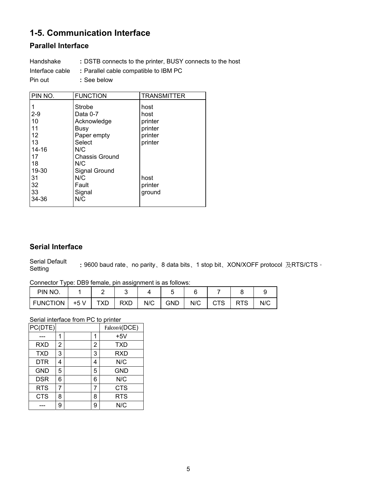# <span id="page-5-0"></span>**1-5. Communication Interface**

#### **Parallel Interface**

Handshake **:** DSTB connects to the printer, BUSY connects to the host Interface cable **:** Parallel cable compatible to IBM PC Pin out **:** See below

| PIN NO. | <b>FUNCTION</b>       | <b>TRANSMITTER</b> |
|---------|-----------------------|--------------------|
|         |                       |                    |
| 1       | <b>Strobe</b>         | host               |
| $2 - 9$ | Data 0-7              | host               |
| 10      | Acknowledge           | printer            |
| 11      | Busy                  | printer            |
| 12      | Paper empty           | printer            |
| 13      | Select                | printer            |
| 14-16   | N/C                   |                    |
| 17      | <b>Chassis Ground</b> |                    |
| 18      | N/C                   |                    |
| 19-30   | Signal Ground         |                    |
| 31      | N/C                   | host               |
| 32      | Fault                 | printer            |
| 33      | Signal                | ground             |
| 34-36   | N/C                   |                    |
|         |                       |                    |

#### **Serial Interface**

Serial Default Serial Default **: 9600 baud rate**、no parity、8 data bits、1 stop bit、XON/XOFF protocol 及RTS/CTS。<br>Setting

Connector Type: DB9 female, pin assignment is as follows:

| PIN NO.         |      |     |            |     |            |     |  |     |
|-----------------|------|-----|------------|-----|------------|-----|--|-----|
| <b>FUNCTION</b> | +5 V | TXD | <b>RXD</b> | N/C | <b>GND</b> | N/C |  | N/C |

Serial interface from PC to printer

| PC(DTE)    |   |   | Falcon4(DCE) |
|------------|---|---|--------------|
|            | 1 | 1 | $+5V$        |
| <b>RXD</b> | 2 | 2 | <b>TXD</b>   |
| <b>TXD</b> | 3 | 3 | <b>RXD</b>   |
| <b>DTR</b> | 4 | 4 | N/C          |
| <b>GND</b> | 5 | 5 | <b>GND</b>   |
| <b>DSR</b> | 6 | 6 | N/C          |
| <b>RTS</b> |   |   | <b>CTS</b>   |
| <b>CTS</b> | 8 | 8 | <b>RTS</b>   |
|            | 9 | 9 | N/C          |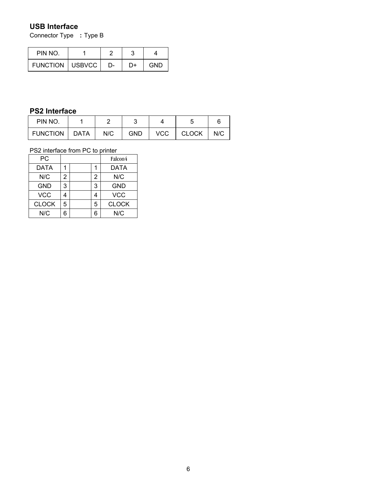#### **USB Interface**

Connector Type **:** Type B

| PIN NO.                  |    |    |     |
|--------------------------|----|----|-----|
| <b>FUNCTION   USBVCC</b> | D- | D+ | GND |

#### **PS2 Interface**

| PIN NO.         |      |     |     |            |              |     |
|-----------------|------|-----|-----|------------|--------------|-----|
| <b>FUNCTION</b> | DATA | N/C | GND | <b>VCC</b> | <b>CLOCK</b> | N/C |

#### PS2 interface from PC to printer

| PC           |   |   | Falcon4      |
|--------------|---|---|--------------|
| DATA         |   |   | <b>DATA</b>  |
| N/C          | 2 | 2 | N/C          |
| <b>GND</b>   | 3 | 3 | GND          |
| <b>VCC</b>   |   | 4 | <b>VCC</b>   |
| <b>CLOCK</b> | 5 | 5 | <b>CLOCK</b> |
| N/C          |   | 6 | N/C          |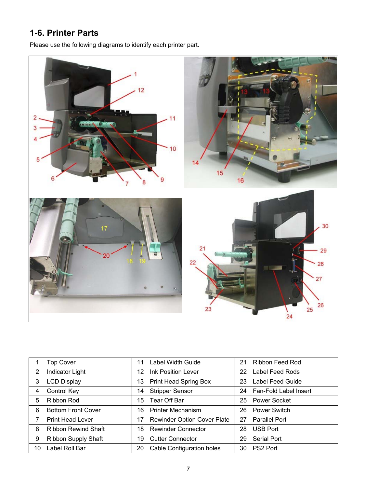## <span id="page-7-0"></span>**1-6. Printer Parts**

Please use the following diagrams to identify each printer part.



|    | <b>Top Cover</b>           | 11 | Label Width Guide           | 21 | Ribbon Feed Rod              |
|----|----------------------------|----|-----------------------------|----|------------------------------|
| 2  | Indicator Light            | 12 | Ink Position Lever          | 22 | Label Feed Rods              |
| 3  | <b>LCD Display</b>         | 13 | Print Head Spring Box       | 23 | Label Feed Guide             |
| 4  | <b>Control Key</b>         | 14 | Stripper Sensor             | 24 | <b>Fan-Fold Label Insert</b> |
| 5  | Ribbon Rod                 | 15 | Tear Off Bar                | 25 | <b>Power Socket</b>          |
| 6  | <b>Bottom Front Cover</b>  | 16 | <b>Printer Mechanism</b>    | 26 | <b>Power Switch</b>          |
| 7  | <b>Print Head Lever</b>    | 17 | Rewinder Option Cover Plate | 27 | <b>Parallel Port</b>         |
| 8  | <b>Ribbon Rewind Shaft</b> | 18 | Rewinder Connector          | 28 | <b>USB Port</b>              |
| 9  | Ribbon Supply Shaft        | 19 | <b>Cutter Connector</b>     | 29 | <b>Serial Port</b>           |
| 10 | Label Roll Bar             | 20 | Cable Configuration holes   | 30 | <b>PS2 Port</b>              |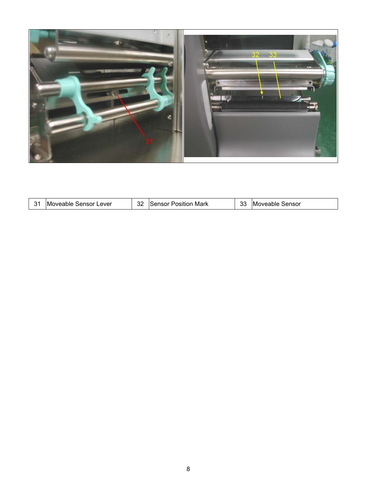

| 31<br>33<br>Moveable Sensor<br>Moveable Sensor Lever<br><b>ISensor Position Mark</b><br>ے ک |
|---------------------------------------------------------------------------------------------|
|---------------------------------------------------------------------------------------------|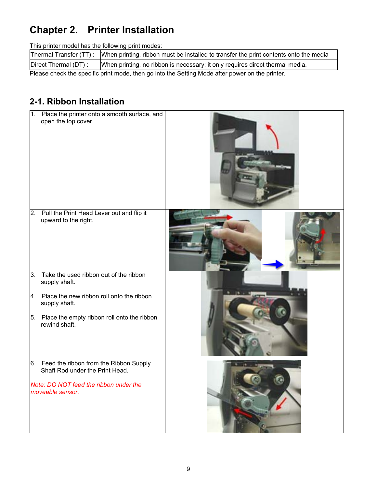# <span id="page-9-0"></span>**Chapter 2. Printer Installation**

This printer model has the following print modes:

|                                                                                                 | Thermal Transfer (TT): When printing, ribbon must be installed to transfer the print contents onto the media |  |  |  |  |
|-------------------------------------------------------------------------------------------------|--------------------------------------------------------------------------------------------------------------|--|--|--|--|
| Direct Thermal (DT):                                                                            | When printing, no ribbon is necessary; it only requires direct thermal media.                                |  |  |  |  |
| Please check the specific print mode, then go into the Setting Mode after power on the printer. |                                                                                                              |  |  |  |  |

## **2-1. Ribbon Installation**

| $\overline{1}$ . | Place the printer onto a smooth surface, and<br>open the top cover.       |  |
|------------------|---------------------------------------------------------------------------|--|
| 2.               | Pull the Print Head Lever out and flip it<br>upward to the right.         |  |
| 3.               | Take the used ribbon out of the ribbon<br>supply shaft.                   |  |
| 4.               | Place the new ribbon roll onto the ribbon<br>supply shaft.                |  |
| 5.               | Place the empty ribbon roll onto the ribbon<br>rewind shaft.              |  |
| 6.               | Feed the ribbon from the Ribbon Supply<br>Shaft Rod under the Print Head. |  |
|                  | Note: DO NOT feed the ribbon under the<br>moveable sensor.                |  |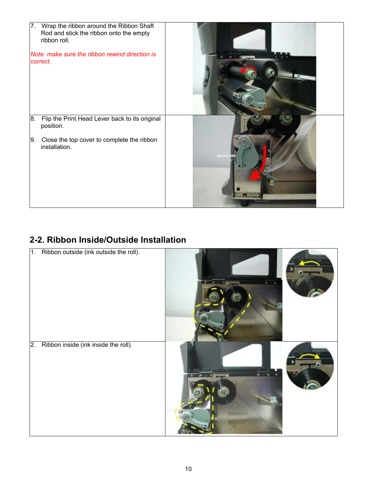<span id="page-10-0"></span>

## **2-2. Ribbon Inside/Outside Installation**

| 1.               | Ribbon outside (ink outside the roll). |  |
|------------------|----------------------------------------|--|
| $\overline{2}$ . | Ribbon inside (ink inside the roll).   |  |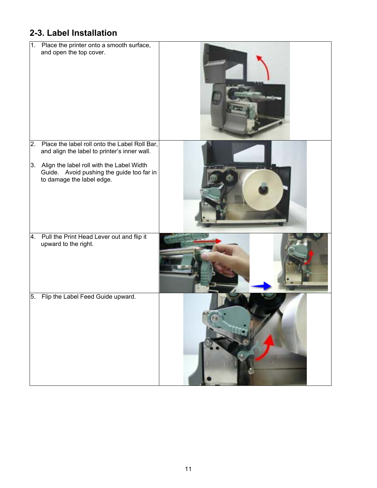# <span id="page-11-0"></span>**2-3. Label Installation**

| 1. | Place the printer onto a smooth surface,<br>and open the top cover.                                                    |  |
|----|------------------------------------------------------------------------------------------------------------------------|--|
| 2. | Place the label roll onto the Label Roll Bar,<br>and align the label to printer's inner wall.                          |  |
|    | 3. Align the label roll with the Label Width<br>Guide. Avoid pushing the guide too far in<br>to damage the label edge. |  |
| 4. | Pull the Print Head Lever out and flip it<br>upward to the right.                                                      |  |
| 5. | Flip the Label Feed Guide upward.                                                                                      |  |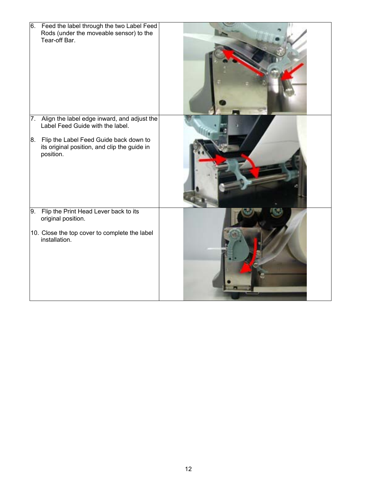| 6. Feed the label through the two Label Feed<br>Rods (under the moveable sensor) to the<br>Tear-off Bar. |  |
|----------------------------------------------------------------------------------------------------------|--|
| 7. Align the label edge inward, and adjust the<br>Label Feed Guide with the label.                       |  |
| 8. Flip the Label Feed Guide back down to<br>its original position, and clip the guide in<br>position.   |  |
| 9. Flip the Print Head Lever back to its<br>original position.                                           |  |
| 10. Close the top cover to complete the label<br>installation.                                           |  |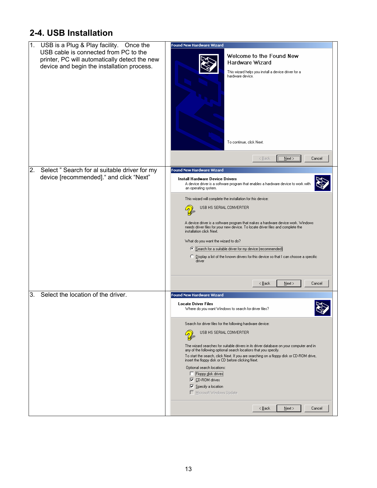## <span id="page-13-0"></span>**2-4. USB Installation**

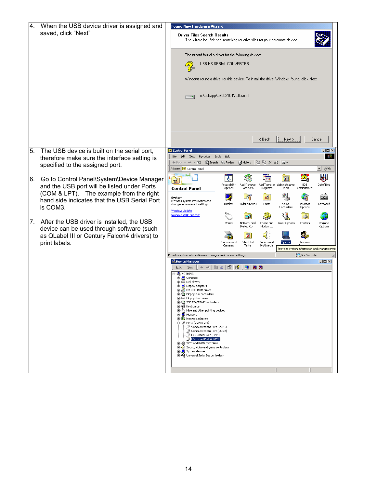| 4. | When the USB device driver is assigned and                                                 | <b>Found New Hardware Wizard</b>                                                                                                                                            |
|----|--------------------------------------------------------------------------------------------|-----------------------------------------------------------------------------------------------------------------------------------------------------------------------------|
|    | saved, click "Next"                                                                        | <b>Driver Files Search Results</b><br>The wizard has finished searching for driver files for your hardware device.                                                          |
|    |                                                                                            | The wizard found a driver for the following device:                                                                                                                         |
|    |                                                                                            | USB HS SERIAL CONVERTER<br><u>لوما</u>                                                                                                                                      |
|    |                                                                                            |                                                                                                                                                                             |
|    |                                                                                            | Windows found a driver for this device. To install the driver Windows found, click Next.                                                                                    |
|    |                                                                                            | c:\usbapp\p8002104\ftdibus.inf                                                                                                                                              |
|    |                                                                                            |                                                                                                                                                                             |
|    |                                                                                            |                                                                                                                                                                             |
|    |                                                                                            | $N$ ext ><br>< <u>B</u> ack<br>Cancel                                                                                                                                       |
| 5. | The USB device is built on the serial port,                                                | <b>Control Panel</b><br><u>_ 미지</u><br>棚<br>File Edit View<br>Favorites Tools<br>Help                                                                                       |
|    | therefore make sure the interface setting is<br>specified to the assigned port.            | ←Back - → - 向   @Search 名Folders 《History   偕 �� × ∽) 囲-                                                                                                                    |
|    |                                                                                            | Address <a> <b><a> Control Panel</a></b><br/><u>∽</u> ∂େ</a>                                                                                                                |
| 6. | Go to Control Panel\System\Device Manager                                                  | 8<br>糟<br>$\overline{\mathcal{L}}$<br>h i<br>$\mathbb{R}$                                                                                                                   |
|    | and the USB port will be listed under Ports                                                | Accessibility<br>Add/Remove<br>Add/Remove<br><b>BDE</b><br>Date/Time<br>Administrative<br><b>Control Panel</b><br>Hardware<br>Options<br>Programs<br>Tools<br>Administrator |
|    | (COM & LPT). The example from the right<br>hand side indicates that the USB Serial Port    | 斗<br>1<br>$\mathbb{A}^4_a$<br>š9<br><b>WANG</b><br>System<br>Provides system information and                                                                                |
|    | is COM3.                                                                                   | Folder Options<br>Display<br>Fonts<br>Game<br>Internet<br>Keyboard<br>changes environment settings<br>Controllers<br>Options<br><b>Windows Update</b>                       |
|    |                                                                                            | Windows 2000 Support                                                                                                                                                        |
|    | 7. After the USB driver is installed, the USB<br>device can be used through software (such | Mouse<br>Phone and<br>Printers<br>Network and<br>Power Options<br>Regional<br>Modem<br>Dial-up Co<br>Options                                                                |
|    | as QLabel III or Century Falcon4 drivers) to                                               | ♦<br>o                                                                                                                                                                      |
|    | print labels.                                                                              | Scanners and<br>Scheduled<br>Sounds and<br>System<br>Users and<br>Multimedia<br>Cameras<br>Tasks                                                                            |
|    |                                                                                            | Provides system information and changes envir<br>Provides system information and changes environment settings<br>My Computer                                                |
|    |                                                                                            | <b>A</b> Device Manager<br>$\Box$ D $\Box$                                                                                                                                  |
|    |                                                                                            | $ + \rightarrow  $ hn $ $ g $ $ g $ $<br>图图图<br>Action View                                                                                                                 |
|    |                                                                                            | ⊟- <u>鳥</u> nothing<br>中 <b>日</b> Computer                                                                                                                                  |
|    |                                                                                            | <b>E-□ Disk drives</b><br>由 Display adapters<br>DVD/CD-ROM drives<br>$\overline{+}$                                                                                         |
|    |                                                                                            | 由号 Floppy disk controllers<br>(iii) -  Floppy disk drives                                                                                                                   |
|    |                                                                                            | 由一 IDE ATA/ATAPI controllers<br>由 避 Keyboards                                                                                                                               |
|    |                                                                                            | in the and other pointing devices<br>由 <b>回</b> Monitors                                                                                                                    |
|    |                                                                                            | 由 ■ Network adapters<br>白 y Ports (COM & LPT)                                                                                                                               |
|    |                                                                                            | Communications Port (COM1)<br>Communications Port (COM2)                                                                                                                    |
|    |                                                                                            | F ECP Printer Port (LPT1)<br>E-CSI and RAID controllers                                                                                                                     |
|    |                                                                                            | in video and game controllers<br>E System devices                                                                                                                           |
|    |                                                                                            | 由 G Universal Serial Bus controllers                                                                                                                                        |
|    |                                                                                            |                                                                                                                                                                             |
|    |                                                                                            |                                                                                                                                                                             |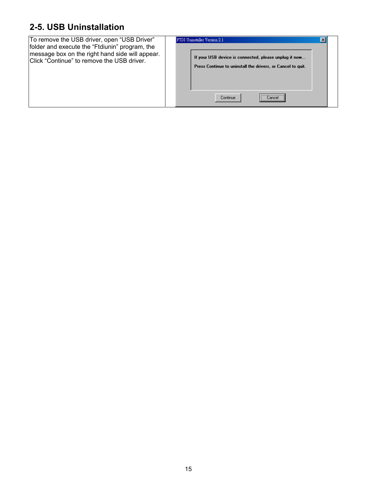## <span id="page-15-0"></span>**2-5. USB Uninstallation**

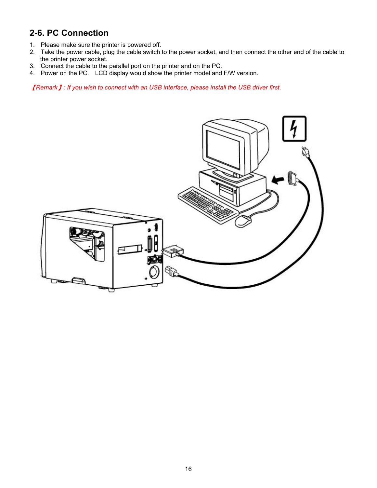## <span id="page-16-0"></span>**2-6. PC Connection**

- 1. Please make sure the printer is powered off.
- 2. Take the power cable, plug the cable switch to the power socket, and then connect the other end of the cable to the printer power socket.
- 3. Connect the cable to the parallel port on the printer and on the PC.
- 4. Power on the PC. LCD display would show the printer model and F/W version.

【*Remark*】*: If you wish to connect with an USB interface, please install the USB driver first.* 

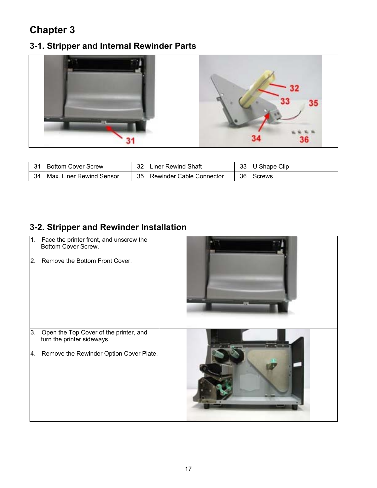# <span id="page-17-0"></span>**Chapter 3**

## **3-1. Stripper and Internal Rewinder Parts**



| 31 | <b>Bottom Cover Screw</b>        | 32 | Liner Rewind Shaft       | 33 | U Shape Clip  |
|----|----------------------------------|----|--------------------------|----|---------------|
| 34 | <b>IMax. Liner Rewind Sensor</b> | 35 | Rewinder Cable Connector | 36 | <b>Screws</b> |

## **3-2. Stripper and Rewinder Installation**

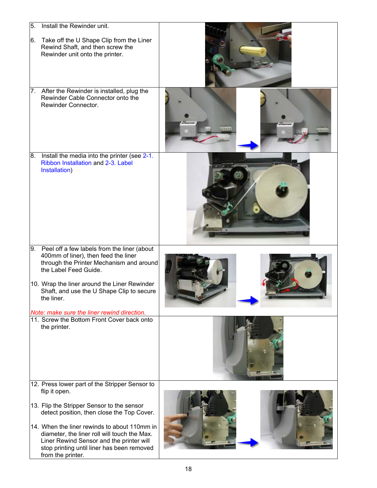| 5.<br>6. | Install the Rewinder unit.<br>Take off the U Shape Clip from the Liner<br>Rewind Shaft, and then screw the<br>Rewinder unit onto the printer.                                                                                                                                                                                                                              |  |
|----------|----------------------------------------------------------------------------------------------------------------------------------------------------------------------------------------------------------------------------------------------------------------------------------------------------------------------------------------------------------------------------|--|
|          | 7. After the Rewinder is installed, plug the<br>Rewinder Cable Connector onto the<br>Rewinder Connector.                                                                                                                                                                                                                                                                   |  |
| 8.       | Install the media into the printer (see 2-1.<br>Ribbon Installation and 2-3. Label<br>Installation)                                                                                                                                                                                                                                                                        |  |
| 9.       | Peel off a few labels from the liner (about<br>400mm of liner), then feed the liner<br>through the Printer Mechanism and around<br>the Label Feed Guide.<br>10. Wrap the liner around the Liner Rewinder<br>Shaft, and use the U Shape Clip to secure<br>the liner.                                                                                                        |  |
|          | Note: make sure the liner rewind direction.<br>11. Screw the Bottom Front Cover back onto<br>the printer.                                                                                                                                                                                                                                                                  |  |
|          | 12. Press lower part of the Stripper Sensor to<br>flip it open.<br>13. Flip the Stripper Sensor to the sensor<br>detect position, then close the Top Cover.<br>14. When the liner rewinds to about 110mm in<br>diameter, the liner roll will touch the Max.<br>Liner Rewind Sensor and the printer will<br>stop printing until liner has been removed<br>from the printer. |  |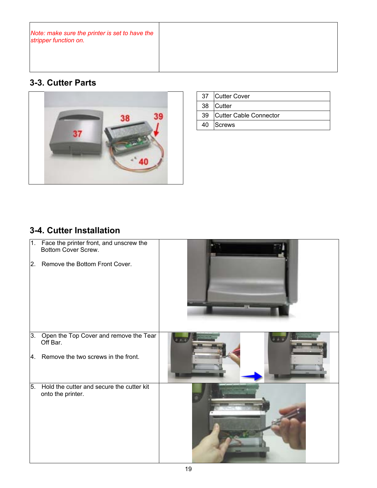<span id="page-19-0"></span>*Note: make sure the printer is set to have the stripper function on.* 

## **3-3. Cutter Parts**



| 37 Cutter Cover           |
|---------------------------|
| 38 Cutter                 |
| 39 Cutter Cable Connector |
| 40 Screws                 |

#### **3-4. Cutter Installation**

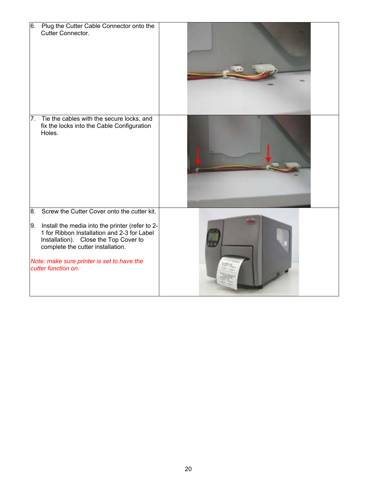| 6. | Plug the Cutter Cable Connector onto the<br>Cutter Connector.                                                                                                                                                                                     |  |
|----|---------------------------------------------------------------------------------------------------------------------------------------------------------------------------------------------------------------------------------------------------|--|
| 7. | Tie the cables with the secure locks, and<br>fix the locks into the Cable Configuration<br>Holes.                                                                                                                                                 |  |
| 8. | Screw the Cutter Cover onto the cutter kit.                                                                                                                                                                                                       |  |
| 9. | Install the media into the printer (refer to 2-<br>1 for Ribbon Installation and 2-3 for Label<br>Installation). Close the Top Cover to<br>complete the cutter installation.<br>Note: make sure printer is set to have the<br>cutter function on. |  |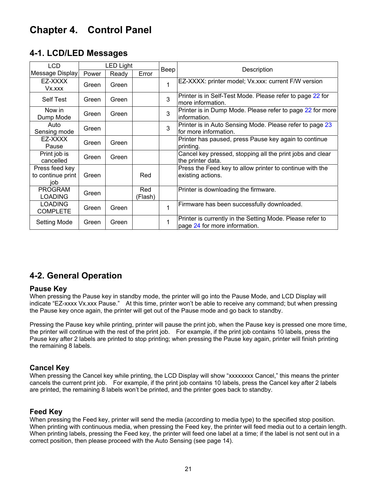# <span id="page-21-0"></span>**Chapter 4. Control Panel**

| <b>LCD</b>                                 | <b>LED Light</b> |       | Beep           |   |                                                                                            |
|--------------------------------------------|------------------|-------|----------------|---|--------------------------------------------------------------------------------------------|
| Message Display                            | Power            | Ready | Error          |   | Description                                                                                |
| EZ-XXXX<br>Vx.xxx                          | Green            | Green |                | 1 | EZ-XXXX: printer model; Vx.xxx: current F/W version                                        |
| <b>Self Test</b>                           | Green            | Green |                | 3 | Printer is in Self-Test Mode. Please refer to page 22 for<br>Imore information.            |
| Now in<br>Dump Mode                        | Green            | Green |                | 3 | Printer is in Dump Mode. Please refer to page 22 for more<br>information.                  |
| Auto<br>Sensing mode                       | Green            |       |                | 3 | Printer is in Auto Sensing Mode. Please refer to page 23<br>lfor more information.         |
| EZ-XXXX<br>Pause                           | Green            | Green |                |   | Printer has paused, press Pause key again to continue<br>printing.                         |
| Print job is<br>cancelled                  | Green            | Green |                |   | Cancel key pressed, stopping all the print jobs and clear<br>the printer data.             |
| Press feed key<br>to continue print<br>iob | Green            |       | Red            |   | Press the Feed key to allow printer to continue with the<br>existing actions.              |
| <b>PROGRAM</b><br><b>LOADING</b>           | Green            |       | Red<br>(Flash) |   | Printer is downloading the firmware.                                                       |
| <b>LOADING</b><br><b>COMPLETE</b>          | Green            | Green |                | 1 | Firmware has been successfully downloaded.                                                 |
| <b>Setting Mode</b>                        | Green            | Green |                | 1 | Printer is currently in the Setting Mode. Please refer to<br>page 24 for more information. |

#### **4-2. General Operation**

#### **Pause Key**

When pressing the Pause key in standby mode, the printer will go into the Pause Mode, and LCD Display will indicate "EZ-xxxx Vx.xxx Pause." At this time, printer won't be able to receive any command; but when pressing the Pause key once again, the printer will get out of the Pause mode and go back to standby.

Pressing the Pause key while printing, printer will pause the print job, when the Pause key is pressed one more time, the printer will continue with the rest of the print job. For example, if the print job contains 10 labels, press the Pause key after 2 labels are printed to stop printing; when pressing the Pause key again, printer will finish printing the remaining 8 labels.

#### **Cancel Key**

When pressing the Cancel key while printing, the LCD Display will show "xxxxxxxx Cancel," this means the printer cancels the current print job. For example, if the print job contains 10 labels, press the Cancel key after 2 labels are printed, the remaining 8 labels won't be printed, and the printer goes back to standby.

#### **Feed Key**

When pressing the Feed key, printer will send the media (according to media type) to the specified stop position. When printing with continuous media, when pressing the Feed key, the printer will feed media out to a certain length. When printing labels, pressing the Feed key, the printer will feed one label at a time; if the label is not sent out in a correct position, then please proceed with the Auto Sensing (see page 14).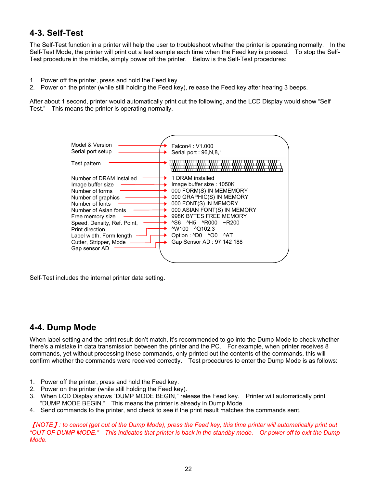#### <span id="page-22-0"></span>**4-3. Self-Test**

The Self-Test function in a printer will help the user to troubleshoot whether the printer is operating normally. In the Self-Test Mode, the printer will print out a test sample each time when the Feed key is pressed. To stop the Self-Test procedure in the middle, simply power off the printer. Below is the Self-Test procedures:

- 1. Power off the printer, press and hold the Feed key.
- 2. Power on the printer (while still holding the Feed key), release the Feed key after hearing 3 beeps.

After about 1 second, printer would automatically print out the following, and the LCD Display would show "Self Test." This means the printer is operating normally.



Self-Test includes the internal printer data setting.

#### **4-4. Dump Mode**

When label setting and the print result don't match, it's recommended to go into the Dump Mode to check whether there's a mistake in data transmission between the printer and the PC. For example, when printer receives 8 commands, yet without processing these commands, only printed out the contents of the commands, this will confirm whether the commands were received correctly. Test procedures to enter the Dump Mode is as follows:

- 1. Power off the printer, press and hold the Feed key.
- 2. Power on the printer (while still holding the Feed key).
- 3. When LCD Display shows "DUMP MODE BEGIN," release the Feed key. Printer will automatically print "DUMP MODE BEGIN." This means the printer is already in Dump Mode.
- 4. Send commands to the printer, and check to see if the print result matches the commands sent.

【*NOTE*】*: to cancel (get out of the Dump Mode), press the Feed key, this time printer will automatically print out "OUT OF DUMP MODE." This indicates that printer is back in the standby mode. Or power off to exit the Dump Mode.*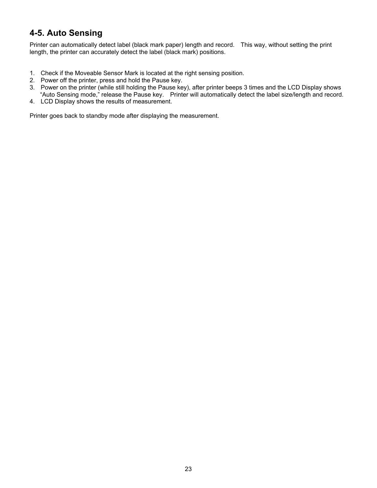#### <span id="page-23-0"></span>**4-5. Auto Sensing**

Printer can automatically detect label (black mark paper) length and record. This way, without setting the print length, the printer can accurately detect the label (black mark) positions.

- 1. Check if the Moveable Sensor Mark is located at the right sensing position.
- 2. Power off the printer, press and hold the Pause key.
- 3. Power on the printer (while still holding the Pause key), after printer beeps 3 times and the LCD Display shows "Auto Sensing mode," release the Pause key. Printer will automatically detect the label size/length and record.
- 4. LCD Display shows the results of measurement.

Printer goes back to standby mode after displaying the measurement.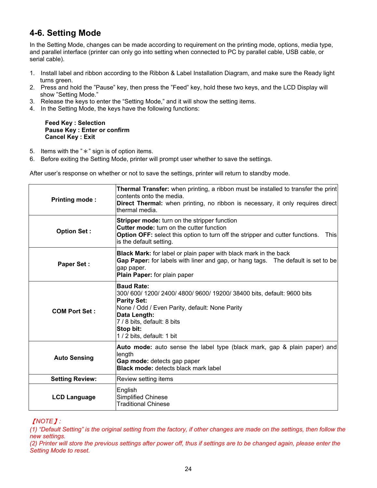## <span id="page-24-0"></span>**4-6. Setting Mode**

In the Setting Mode, changes can be made according to requirement on the printing mode, options, media type, and parallel interface (printer can only go into setting when connected to PC by parallel cable, USB cable, or serial cable).

- 1. Install label and ribbon according to the Ribbon & Label Installation Diagram, and make sure the Ready light turns green.
- 2. Press and hold the "Pause" key, then press the "Feed" key, hold these two keys, and the LCD Display will show "Setting Mode."
- 3. Release the keys to enter the "Setting Mode," and it will show the setting items.
- 4. In the Setting Mode, the keys have the following functions:

#### **Feed Key : Selection Pause Key : Enter or confirm Cancel Key : Exit**

- 5. Items with the " $*$ " sign is of option items.
- 6. Before exiting the Setting Mode, printer will prompt user whether to save the settings.

After user's response on whether or not to save the settings, printer will return to standby mode.

| <b>Printing mode:</b>  | <b>Thermal Transfer:</b> when printing, a ribbon must be installed to transfer the print<br>contents onto the media.<br><b>Direct Thermal:</b> when printing, no ribbon is necessary, it only requires direct<br>thermal media.                         |
|------------------------|---------------------------------------------------------------------------------------------------------------------------------------------------------------------------------------------------------------------------------------------------------|
| <b>Option Set:</b>     | Stripper mode: turn on the stripper function<br><b>Cutter mode:</b> turn on the cutter function<br><b>Option OFF:</b> select this option to turn off the stripper and cutter functions.<br><b>This</b><br>is the default setting.                       |
| <b>Paper Set:</b>      | <b>Black Mark:</b> for label or plain paper with black mark in the back<br>Gap Paper: for labels with liner and gap, or hang tags. The default is set to be<br>gap paper.<br>Plain Paper: for plain paper                                               |
| <b>COM Port Set:</b>   | <b>Baud Rate:</b><br>300/600/1200/2400/4800/9600/19200/38400 bits, default: 9600 bits<br><b>Parity Set:</b><br>None / Odd / Even Parity, default: None Parity<br>Data Length:<br>7 / 8 bits, default: 8 bits<br>Stop bit:<br>1 / 2 bits, default: 1 bit |
| <b>Auto Sensing</b>    | Auto mode: auto sense the label type (black mark, gap & plain paper) and<br>length<br>Gap mode: detects gap paper<br><b>Black mode: detects black mark label</b>                                                                                        |
| <b>Setting Review:</b> | Review setting items                                                                                                                                                                                                                                    |
| <b>LCD Language</b>    | English<br><b>Simplified Chinese</b><br><b>Traditional Chinese</b>                                                                                                                                                                                      |

#### 【*NOTE*】*:*

*(1) "Default Setting" is the original setting from the factory, if other changes are made on the settings, then follow the new settings.* 

*(2) Printer will store the previous settings after power off, thus if settings are to be changed again, please enter the Setting Mode to reset.*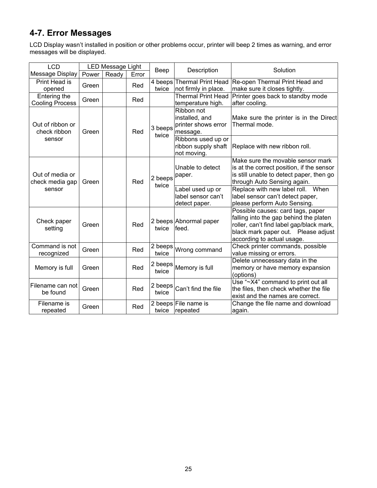# <span id="page-25-0"></span>**4-7. Error Messages**

LCD Display wasn't installed in position or other problems occur, printer will beep 2 times as warning, and error messages will be displayed.

| <b>LCD</b>                                   | <b>LED Message Light</b> |       |       |                  |                                                                 |                                                                                                                                                                                              |
|----------------------------------------------|--------------------------|-------|-------|------------------|-----------------------------------------------------------------|----------------------------------------------------------------------------------------------------------------------------------------------------------------------------------------------|
| Message Display                              | Power                    | Ready | Error | Beep             | Description                                                     | Solution                                                                                                                                                                                     |
| Print Head is<br>opened                      | Green                    |       | Red   | twice            | 4 beeps Thermal Print Head<br>not firmly in place.              | Re-open Thermal Print Head and<br>make sure it closes tightly.                                                                                                                               |
| Entering the<br><b>Cooling Process</b>       | Green                    |       | Red   |                  | Thermal Print Head<br>temperature high.                         | Printer goes back to standby mode<br>after cooling.                                                                                                                                          |
| Out of ribbon or<br>check ribbon<br>sensor   | Green                    |       | Red   | 3 beeps<br>twice | Ribbon not<br>installed, and<br>printer shows error<br>message. | Make sure the printer is in the Direct<br>Thermal mode.                                                                                                                                      |
|                                              |                          |       |       |                  | Ribbons used up or<br>ribbon supply shaft<br>not moving.        | Replace with new ribbon roll.                                                                                                                                                                |
| Out of media or<br>check media gap<br>sensor | Green                    |       | Red   | 2 beeps<br>twice | Unable to detect<br>paper.                                      | Make sure the movable sensor mark<br>is at the correct position, if the sensor<br>is still unable to detect paper, then go<br>through Auto Sensing again.                                    |
|                                              |                          |       |       |                  | Label used up or<br>label sensor can't<br>detect paper.         | Replace with new label roll. When<br>label sensor can't detect paper,<br>please perform Auto Sensing.                                                                                        |
| Check paper<br>setting                       | Green                    |       | Red   | twice            | 2 beeps Abnormal paper<br>feed.                                 | Possible causes: card tags, paper<br>falling into the gap behind the platen<br>roller, can't find label gap/black mark,<br>black mark paper out. Please adjust<br>according to actual usage. |
| Command is not<br>recognized                 | Green                    |       | Red   | twice            | $\sqrt{2}$ beeps Wrong command                                  | Check printer commands, possible<br>value missing or errors.                                                                                                                                 |
| Memory is full                               | Green                    |       | Red   | 2 beeps<br>twice | Memory is full                                                  | Delete unnecessary data in the<br>memory or have memory expansion<br>(options)                                                                                                               |
| Filename can not<br>be found                 | Green                    |       | Red   | 2 beeps<br>twice | Can't find the file                                             | Use "~X4" command to print out all<br>the files, then check whether the file<br>exist and the names are correct.                                                                             |
| Filename is<br>repeated                      | Green                    |       | Red   | twice            | 2 beeps File name is<br>repeated                                | Change the file name and download<br>again.                                                                                                                                                  |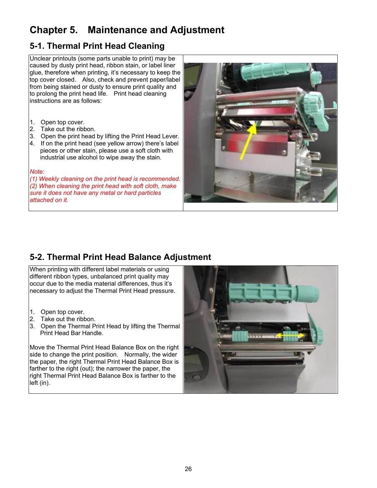# <span id="page-26-0"></span>**Chapter 5. Maintenance and Adjustment**

#### **5-1. Thermal Print Head Cleaning**

Unclear printouts (some parts unable to print) may be caused by dusty print head, ribbon stain, or label liner glue, therefore when printing, it's necessary to keep the top cover closed. Also, check and prevent paper/label from being stained or dusty to ensure print quality and to prolong the print head life. Print head cleaning instructions are as follows:

- 1. Open top cover.
- 2. Take out the ribbon.
- 3. Open the print head by lifting the Print Head Lever.
- 4. If on the print head (see yellow arrow) there's label pieces or other stain, please use a soft cloth with industrial use alcohol to wipe away the stain.

#### *Note:*

*(1) Weekly cleaning on the print head is recommended. (2) When cleaning the print head with soft cloth, make sure it does not have any metal or hard particles attached on it.* 



## **5-2. Thermal Print Head Balance Adjustment**

When printing with different label materials or using different ribbon types, unbalanced print quality may occur due to the media material differences, thus it's necessary to adjust the Thermal Print Head pressure.

- 1. Open top cover.
- 2. Take out the ribbon.
- 3. Open the Thermal Print Head by lifting the Thermal Print Head Bar Handle.

Move the Thermal Print Head Balance Box on the right side to change the print position. Normally, the wider the paper, the right Thermal Print Head Balance Box is farther to the right (out); the narrower the paper, the right Thermal Print Head Balance Box is farther to the left (in).

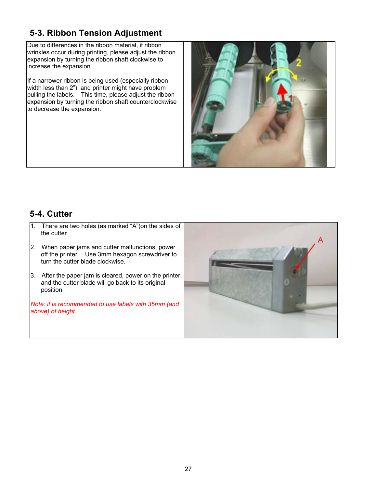# <span id="page-27-0"></span>**5-3. Ribbon Tension Adjustment**

Due to differences in the ribbon material, if ribbon wrinkles occur during printing, please adjust the ribbon expansion by turning the ribbon shaft clockwise to increase the expansion.

If a narrower ribbon is being used (especially ribbon width less than 2"), and printer might have problem pulling the labels. This time, please adjust the ribbon expansion by turning the ribbon shaft counterclockwise to decrease the expansion.



#### **5-4. Cutter**

- 1. There are two holes (as marked "A")on the sides of the cutter
- 2. When paper jams and cutter malfunctions, power off the printer. Use 3mm hexagon screwdriver to turn the cutter blade clockwise.
- 3. After the paper jam is cleared, power on the printer, and the cutter blade will go back to its original position.

*Note: it is recommended to use labels with 35mm (and above) of height.*